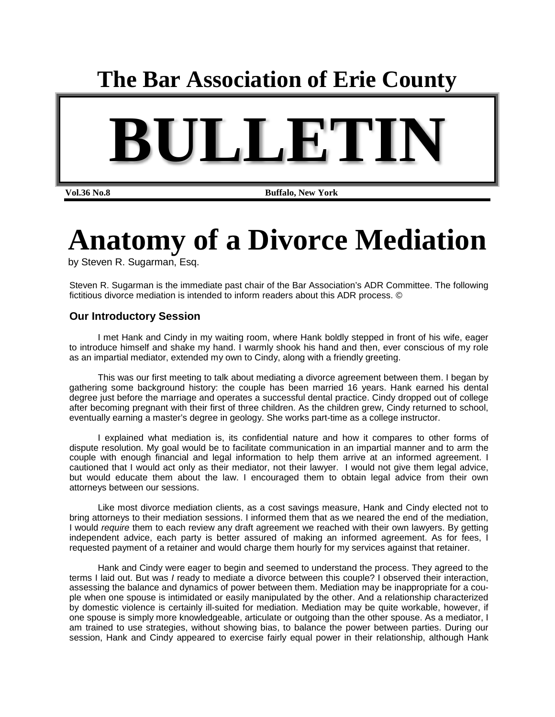## **The Bar Association of Erie County**



**Vol.36 No.8 Buffalo, New York** 

# **Anatomy of a Divorce Mediation**

by Steven R. Sugarman, Esq.

Steven R. Sugarman is the immediate past chair of the Bar Association's ADR Committee. The following fictitious divorce mediation is intended to inform readers about this ADR process. ©

### **Our Introductory Session**

I met Hank and Cindy in my waiting room, where Hank boldly stepped in front of his wife, eager to introduce himself and shake my hand. I warmly shook his hand and then, ever conscious of my role as an impartial mediator, extended my own to Cindy, along with a friendly greeting.

This was our first meeting to talk about mediating a divorce agreement between them. I began by gathering some background history: the couple has been married 16 years. Hank earned his dental degree just before the marriage and operates a successful dental practice. Cindy dropped out of college after becoming pregnant with their first of three children. As the children grew, Cindy returned to school, eventually earning a master's degree in geology. She works part-time as a college instructor.

I explained what mediation is, its confidential nature and how it compares to other forms of dispute resolution. My goal would be to facilitate communication in an impartial manner and to arm the couple with enough financial and legal information to help them arrive at an informed agreement. I cautioned that I would act only as their mediator, not their lawyer. I would not give them legal advice, but would educate them about the law. I encouraged them to obtain legal advice from their own attorneys between our sessions.

Like most divorce mediation clients, as a cost savings measure, Hank and Cindy elected not to bring attorneys to their mediation sessions. I informed them that as we neared the end of the mediation, I would *require* them to each review any draft agreement we reached with their own lawyers. By getting independent advice, each party is better assured of making an informed agreement. As for fees, I requested payment of a retainer and would charge them hourly for my services against that retainer.

Hank and Cindy were eager to begin and seemed to understand the process. They agreed to the terms I laid out. But was *I* ready to mediate a divorce between this couple? I observed their interaction, assessing the balance and dynamics of power between them. Mediation may be inappropriate for a couple when one spouse is intimidated or easily manipulated by the other. And a relationship characterized by domestic violence is certainly ill-suited for mediation. Mediation may be quite workable, however, if one spouse is simply more knowledgeable, articulate or outgoing than the other spouse. As a mediator, I am trained to use strategies, without showing bias, to balance the power between parties. During our session, Hank and Cindy appeared to exercise fairly equal power in their relationship, although Hank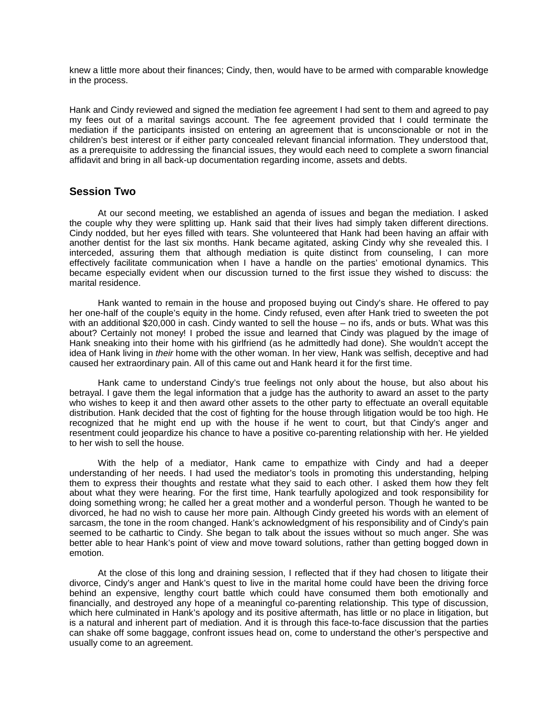knew a little more about their finances; Cindy, then, would have to be armed with comparable knowledge in the process.

Hank and Cindy reviewed and signed the mediation fee agreement I had sent to them and agreed to pay my fees out of a marital savings account. The fee agreement provided that I could terminate the mediation if the participants insisted on entering an agreement that is unconscionable or not in the children's best interest or if either party concealed relevant financial information. They understood that, as a prerequisite to addressing the financial issues, they would each need to complete a sworn financial affidavit and bring in all back-up documentation regarding income, assets and debts.

#### **Session Two**

At our second meeting, we established an agenda of issues and began the mediation. I asked the couple why they were splitting up. Hank said that their lives had simply taken different directions. Cindy nodded, but her eyes filled with tears. She volunteered that Hank had been having an affair with another dentist for the last six months. Hank became agitated, asking Cindy why she revealed this. I interceded, assuring them that although mediation is quite distinct from counseling, I can more effectively facilitate communication when I have a handle on the parties' emotional dynamics. This became especially evident when our discussion turned to the first issue they wished to discuss: the marital residence.

Hank wanted to remain in the house and proposed buying out Cindy's share. He offered to pay her one-half of the couple's equity in the home. Cindy refused, even after Hank tried to sweeten the pot with an additional \$20,000 in cash. Cindy wanted to sell the house – no ifs, ands or buts. What was this about? Certainly not money! I probed the issue and learned that Cindy was plagued by the image of Hank sneaking into their home with his girlfriend (as he admittedly had done). She wouldn't accept the idea of Hank living in *their* home with the other woman. In her view, Hank was selfish, deceptive and had caused her extraordinary pain. All of this came out and Hank heard it for the first time.

Hank came to understand Cindy's true feelings not only about the house, but also about his betrayal. I gave them the legal information that a judge has the authority to award an asset to the party who wishes to keep it and then award other assets to the other party to effectuate an overall equitable distribution. Hank decided that the cost of fighting for the house through litigation would be too high. He recognized that he might end up with the house if he went to court, but that Cindy's anger and resentment could jeopardize his chance to have a positive co-parenting relationship with her. He yielded to her wish to sell the house.

With the help of a mediator, Hank came to empathize with Cindy and had a deeper understanding of her needs. I had used the mediator's tools in promoting this understanding, helping them to express their thoughts and restate what they said to each other. I asked them how they felt about what they were hearing. For the first time, Hank tearfully apologized and took responsibility for doing something wrong; he called her a great mother and a wonderful person. Though he wanted to be divorced, he had no wish to cause her more pain. Although Cindy greeted his words with an element of sarcasm, the tone in the room changed. Hank's acknowledgment of his responsibility and of Cindy's pain seemed to be cathartic to Cindy. She began to talk about the issues without so much anger. She was better able to hear Hank's point of view and move toward solutions, rather than getting bogged down in emotion.

At the close of this long and draining session, I reflected that if they had chosen to litigate their divorce, Cindy's anger and Hank's quest to live in the marital home could have been the driving force behind an expensive, lengthy court battle which could have consumed them both emotionally and financially, and destroyed any hope of a meaningful co-parenting relationship. This type of discussion, which here culminated in Hank's apology and its positive aftermath, has little or no place in litigation, but is a natural and inherent part of mediation. And it is through this face-to-face discussion that the parties can shake off some baggage, confront issues head on, come to understand the other's perspective and usually come to an agreement.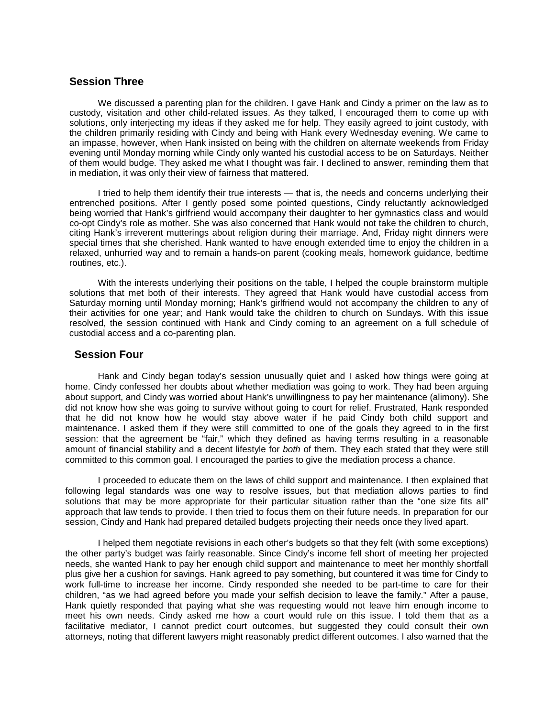#### **Session Three**

We discussed a parenting plan for the children. I gave Hank and Cindy a primer on the law as to custody, visitation and other child-related issues. As they talked, I encouraged them to come up with solutions, only interjecting my ideas if they asked me for help. They easily agreed to joint custody, with the children primarily residing with Cindy and being with Hank every Wednesday evening. We came to an impasse, however, when Hank insisted on being with the children on alternate weekends from Friday evening until Monday morning while Cindy only wanted his custodial access to be on Saturdays. Neither of them would budge. They asked me what I thought was fair. I declined to answer, reminding them that in mediation, it was only their view of fairness that mattered.

I tried to help them identify their true interests — that is, the needs and concerns underlying their entrenched positions. After I gently posed some pointed questions, Cindy reluctantly acknowledged being worried that Hank's girlfriend would accompany their daughter to her gymnastics class and would co-opt Cindy's role as mother. She was also concerned that Hank would not take the children to church, citing Hank's irreverent mutterings about religion during their marriage. And, Friday night dinners were special times that she cherished. Hank wanted to have enough extended time to enjoy the children in a relaxed, unhurried way and to remain a hands-on parent (cooking meals, homework guidance, bedtime routines, etc.).

With the interests underlying their positions on the table, I helped the couple brainstorm multiple solutions that met both of their interests. They agreed that Hank would have custodial access from Saturday morning until Monday morning; Hank's girlfriend would not accompany the children to any of their activities for one year; and Hank would take the children to church on Sundays. With this issue resolved, the session continued with Hank and Cindy coming to an agreement on a full schedule of custodial access and a co-parenting plan.

#### **Session Four**

Hank and Cindy began today's session unusually quiet and I asked how things were going at home. Cindy confessed her doubts about whether mediation was going to work. They had been arguing about support, and Cindy was worried about Hank's unwillingness to pay her maintenance (alimony). She did not know how she was going to survive without going to court for relief. Frustrated, Hank responded that he did not know how he would stay above water if he paid Cindy both child support and maintenance. I asked them if they were still committed to one of the goals they agreed to in the first session: that the agreement be "fair," which they defined as having terms resulting in a reasonable amount of financial stability and a decent lifestyle for *both* of them. They each stated that they were still committed to this common goal. I encouraged the parties to give the mediation process a chance.

I proceeded to educate them on the laws of child support and maintenance. I then explained that following legal standards was one way to resolve issues, but that mediation allows parties to find solutions that may be more appropriate for their particular situation rather than the "one size fits all" approach that law tends to provide. I then tried to focus them on their future needs. In preparation for our session, Cindy and Hank had prepared detailed budgets projecting their needs once they lived apart.

I helped them negotiate revisions in each other's budgets so that they felt (with some exceptions) the other party's budget was fairly reasonable. Since Cindy's income fell short of meeting her projected needs, she wanted Hank to pay her enough child support and maintenance to meet her monthly shortfall plus give her a cushion for savings. Hank agreed to pay something, but countered it was time for Cindy to work full-time to increase her income. Cindy responded she needed to be part-time to care for their children, "as we had agreed before you made your selfish decision to leave the family." After a pause, Hank quietly responded that paying what she was requesting would not leave him enough income to meet his own needs. Cindy asked me how a court would rule on this issue. I told them that as a facilitative mediator, I cannot predict court outcomes, but suggested they could consult their own attorneys, noting that different lawyers might reasonably predict different outcomes. I also warned that the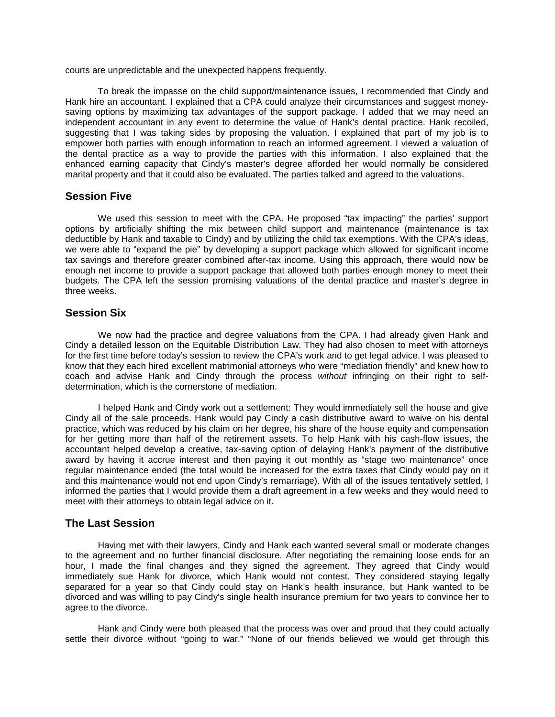courts are unpredictable and the unexpected happens frequently.

To break the impasse on the child support/maintenance issues, I recommended that Cindy and Hank hire an accountant. I explained that a CPA could analyze their circumstances and suggest moneysaving options by maximizing tax advantages of the support package. I added that we may need an independent accountant in any event to determine the value of Hank's dental practice. Hank recoiled, suggesting that I was taking sides by proposing the valuation. I explained that part of my job is to empower both parties with enough information to reach an informed agreement. I viewed a valuation of the dental practice as a way to provide the parties with this information. I also explained that the enhanced earning capacity that Cindy's master's degree afforded her would normally be considered marital property and that it could also be evaluated. The parties talked and agreed to the valuations.

#### **Session Five**

We used this session to meet with the CPA. He proposed "tax impacting" the parties' support options by artificially shifting the mix between child support and maintenance (maintenance is tax deductible by Hank and taxable to Cindy) and by utilizing the child tax exemptions. With the CPA's ideas, we were able to "expand the pie" by developing a support package which allowed for significant income tax savings and therefore greater combined after-tax income. Using this approach, there would now be enough net income to provide a support package that allowed both parties enough money to meet their budgets. The CPA left the session promising valuations of the dental practice and master's degree in three weeks.

#### **Session Six**

We now had the practice and degree valuations from the CPA. I had already given Hank and Cindy a detailed lesson on the Equitable Distribution Law. They had also chosen to meet with attorneys for the first time before today's session to review the CPA's work and to get legal advice. I was pleased to know that they each hired excellent matrimonial attorneys who were "mediation friendly" and knew how to coach and advise Hank and Cindy through the process *without* infringing on their right to selfdetermination, which is the cornerstone of mediation.

I helped Hank and Cindy work out a settlement: They would immediately sell the house and give Cindy all of the sale proceeds. Hank would pay Cindy a cash distributive award to waive on his dental practice, which was reduced by his claim on her degree, his share of the house equity and compensation for her getting more than half of the retirement assets. To help Hank with his cash-flow issues, the accountant helped develop a creative, tax-saving option of delaying Hank's payment of the distributive award by having it accrue interest and then paying it out monthly as "stage two maintenance" once regular maintenance ended (the total would be increased for the extra taxes that Cindy would pay on it and this maintenance would not end upon Cindy's remarriage). With all of the issues tentatively settled, I informed the parties that I would provide them a draft agreement in a few weeks and they would need to meet with their attorneys to obtain legal advice on it.

#### **The Last Session**

Having met with their lawyers, Cindy and Hank each wanted several small or moderate changes to the agreement and no further financial disclosure. After negotiating the remaining loose ends for an hour, I made the final changes and they signed the agreement. They agreed that Cindy would immediately sue Hank for divorce, which Hank would not contest. They considered staying legally separated for a year so that Cindy could stay on Hank's health insurance, but Hank wanted to be divorced and was willing to pay Cindy's single health insurance premium for two years to convince her to agree to the divorce.

Hank and Cindy were both pleased that the process was over and proud that they could actually settle their divorce without "going to war." "None of our friends believed we would get through this